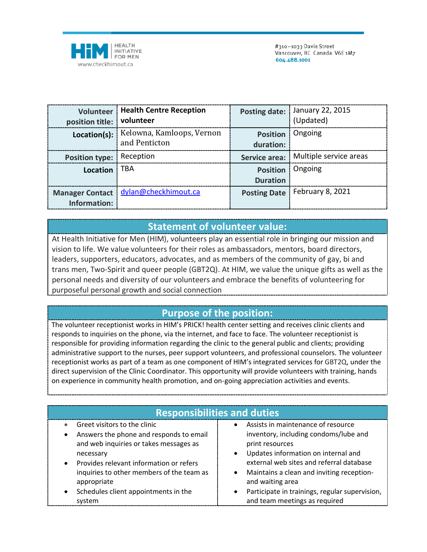

| position title: volunteer | <b>Volunteer   Health Centre Reception</b>                | Posting date:                      | January 22, 2015<br>(Updated) |
|---------------------------|-----------------------------------------------------------|------------------------------------|-------------------------------|
|                           | Location(s):   Kelowna, Kamloops, Vernon<br>and Penticton | <b>Position</b><br>duration:       | Ongoing                       |
| <b>Position type:</b>     | Reception                                                 | <b>Service area:</b>               | Multiple service areas        |
| Location                  | <b>TBA</b>                                                | <b>Position</b><br><b>Duration</b> | Ongoing                       |
| Information:              | Manager Contact   dylan@checkhimout.ca                    | <b>Posting Date</b>                | February 8, 2021              |

## **Statement of volunteer value:**

At Health Initiative for Men (HIM), volunteers play an essential role in bringing our mission and vision to life. We value volunteers for their roles as ambassadors, mentors, board directors, leaders, supporters, educators, advocates, and as members of the community of gay, bi and trans men, Two-Spirit and queer people (GBT2Q). At HIM, we value the unique gifts as well as the personal needs and diversity of our volunteers and embrace the benefits of volunteering for purposeful personal growth and social connection

## **Purpose of the position:**

The volunteer receptionist works in HIM's PRICK! health center setting and receives clinic clients and responds to inquiries on the phone, via the internet, and face to face. The volunteer receptionist is responsible for providing information regarding the clinic to the general public and clients; providing administrative support to the nurses, peer support volunteers, and professional counselors. The volunteer receptionist works as part of a team as one component of HIM's integrated services for GBT2Q, under the direct supervision of the Clinic Coordinator. This opportunity will provide volunteers with training, hands on experience in community health promotion, and on-going appreciation activities and events.

| <b>Responsibilities and duties</b>                                                                               |                                                                                                                        |  |  |  |
|------------------------------------------------------------------------------------------------------------------|------------------------------------------------------------------------------------------------------------------------|--|--|--|
| Greet visitors to the clinic<br>$\bullet$<br>Answers the phone and responds to email                             | • Assists in maintenance of resource<br>inventory, including condoms/lube and                                          |  |  |  |
| and web inquiries or takes messages as<br>necessary                                                              | print resources<br>Updates information on internal and<br>$\bullet$                                                    |  |  |  |
| Provides relevant information or refers<br>$\bullet$<br>inquiries to other members of the team as<br>appropriate | external web sites and referral database<br>Maintains a clean and inviting reception-<br>$\bullet$<br>and waiting area |  |  |  |
| Schedules client appointments in the<br>$\bullet$<br>system                                                      | Participate in trainings, regular supervision,<br>$\bullet$<br>and team meetings as required                           |  |  |  |